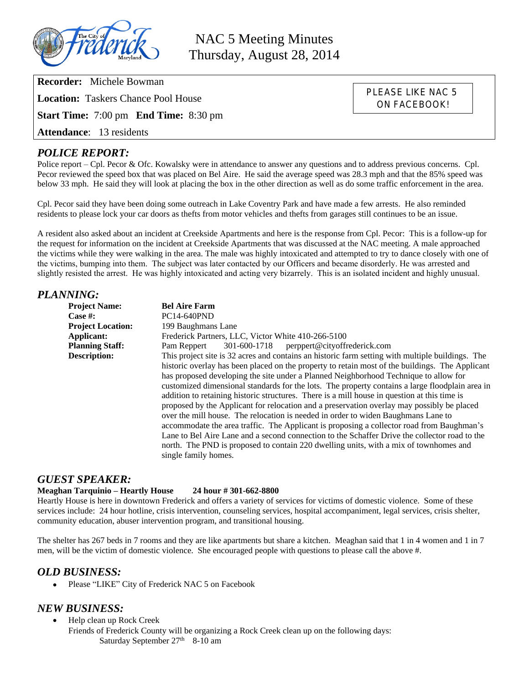

NAC 5 Meeting Minutes Thursday, August 28, 2014

> PLEASE LIKE NAC 5 ON FACEBOOK!

**Recorder:** Michele Bowman

**Location:** Taskers Chance Pool House

**Start Time:** 7:00 pm **End Time:** 8:30 pm

**Attendance**: 13 residents

## *POLICE REPORT:*

Police report – Cpl. Pecor & Ofc. Kowalsky were in attendance to answer any questions and to address previous concerns. Cpl. Pecor reviewed the speed box that was placed on Bel Aire. He said the average speed was 28.3 mph and that the 85% speed was below 33 mph. He said they will look at placing the box in the other direction as well as do some traffic enforcement in the area.

Cpl. Pecor said they have been doing some outreach in Lake Coventry Park and have made a few arrests. He also reminded residents to please lock your car doors as thefts from motor vehicles and thefts from garages still continues to be an issue.

A resident also asked about an incident at Creekside Apartments and here is the response from Cpl. Pecor: This is a follow-up for the request for information on the incident at Creekside Apartments that was discussed at the NAC meeting. A male approached the victims while they were walking in the area. The male was highly intoxicated and attempted to try to dance closely with one of the victims, bumping into them. The subject was later contacted by our Officers and became disorderly. He was arrested and slightly resisted the arrest. He was highly intoxicated and acting very bizarrely. This is an isolated incident and highly unusual.

## *PLANNING:*

| ,,,,,,,,,                |                                                                                                                                                                                                                                                                                                                                                                                                                                                                                                                                                                                                                                                                                                                                                                                                                                                                                                                                                                                                  |
|--------------------------|--------------------------------------------------------------------------------------------------------------------------------------------------------------------------------------------------------------------------------------------------------------------------------------------------------------------------------------------------------------------------------------------------------------------------------------------------------------------------------------------------------------------------------------------------------------------------------------------------------------------------------------------------------------------------------------------------------------------------------------------------------------------------------------------------------------------------------------------------------------------------------------------------------------------------------------------------------------------------------------------------|
| <b>Project Name:</b>     | <b>Bel Aire Farm</b>                                                                                                                                                                                                                                                                                                                                                                                                                                                                                                                                                                                                                                                                                                                                                                                                                                                                                                                                                                             |
| Case $#$ :               | <b>PC14-640PND</b>                                                                                                                                                                                                                                                                                                                                                                                                                                                                                                                                                                                                                                                                                                                                                                                                                                                                                                                                                                               |
| <b>Project Location:</b> | 199 Baughmans Lane                                                                                                                                                                                                                                                                                                                                                                                                                                                                                                                                                                                                                                                                                                                                                                                                                                                                                                                                                                               |
| Applicant:               | Frederick Partners, LLC, Victor White 410-266-5100                                                                                                                                                                                                                                                                                                                                                                                                                                                                                                                                                                                                                                                                                                                                                                                                                                                                                                                                               |
| <b>Planning Staff:</b>   | 301-600-1718 perppert@cityoffrederick.com<br>Pam Reppert                                                                                                                                                                                                                                                                                                                                                                                                                                                                                                                                                                                                                                                                                                                                                                                                                                                                                                                                         |
| <b>Description:</b>      | This project site is 32 acres and contains an historic farm setting with multiple buildings. The<br>historic overlay has been placed on the property to retain most of the buildings. The Applicant<br>has proposed developing the site under a Planned Neighborhood Technique to allow for<br>customized dimensional standards for the lots. The property contains a large floodplain area in<br>addition to retaining historic structures. There is a mill house in question at this time is<br>proposed by the Applicant for relocation and a preservation overlay may possibly be placed<br>over the mill house. The relocation is needed in order to widen Baughmans Lane to<br>accommodate the area traffic. The Applicant is proposing a collector road from Baughman's<br>Lane to Bel Aire Lane and a second connection to the Schaffer Drive the collector road to the<br>north. The PND is proposed to contain 220 dwelling units, with a mix of townhomes and<br>single family homes. |

#### *GUEST SPEAKER:*

#### **Meaghan Tarquinio – Heartly House 24 hour # 301-662-8800**

Heartly House is here in downtown Frederick and offers a variety of services for victims of domestic violence. Some of these services include: 24 hour hotline, crisis intervention, counseling services, hospital accompaniment, legal services, crisis shelter, community education, abuser intervention program, and transitional housing.

The shelter has 267 beds in 7 rooms and they are like apartments but share a kitchen. Meaghan said that 1 in 4 women and 1 in 7 men, will be the victim of domestic violence. She encouraged people with questions to please call the above #.

## *OLD BUSINESS:*

Please "LIKE" City of Frederick NAC 5 on Facebook

## *NEW BUSINESS:*

 Help clean up Rock Creek Friends of Frederick County will be organizing a Rock Creek clean up on the following days: Saturday September 27<sup>th</sup> 8-10 am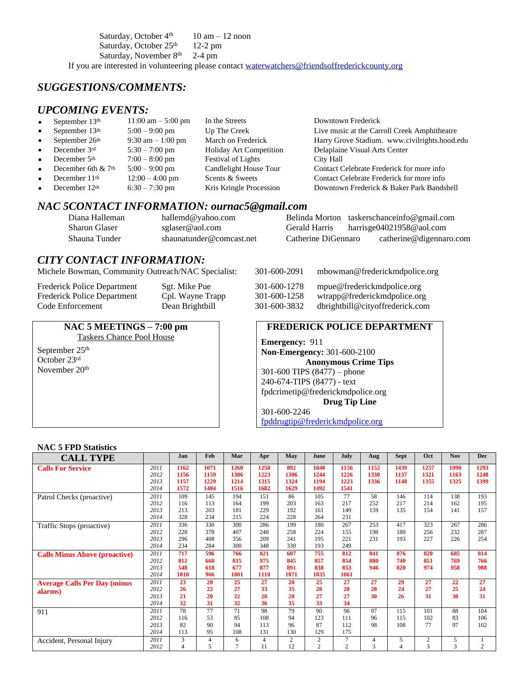Saturday, October  $4<sup>th</sup>$  10 am – 12 noon Saturday, October 25<sup>th</sup> 12-2 pm Saturday, November 8<sup>th</sup> 2-4 pm If you are interested in volunteering please contact [waterwatchers@friendsoffrederickcounty.org](mailto:waterwatchers@friendsoffrederickcounty.org)

# *SUGGESTIONS/COMMENTS:*

## *UPCOMING EVENTS:*

| $\bullet$ | September $13th$          | $11:00$ am $-5:00$ pm | In the Streets                 | Downtown Frederick                            |
|-----------|---------------------------|-----------------------|--------------------------------|-----------------------------------------------|
| $\bullet$ | September 13th            | $5:00 - 9:00$ pm      | Up The Creek                   | Live music at the Carroll Creek Amphitheatre  |
| $\bullet$ | September 26th            | $9:30$ am $-1:00$ pm  | March on Frederick             | Harry Grove Stadium. www.civilrights.hood.edu |
| $\bullet$ | December 3rd              | $5:30 - 7:00$ pm      | <b>Holiday Art Competition</b> | Delaplaine Visual Arts Center                 |
| $\bullet$ | December 5 <sup>th</sup>  | $7:00 - 8:00$ pm      | Festival of Lights             | City Hall                                     |
| $\bullet$ | December 6th & 7th        | $5:00 - 9:00$ pm      | Candlelight House Tour         | Contact Celebrate Frederick for more info     |
| $\bullet$ | December 11 <sup>th</sup> | $12:00 - 4:00$ pm     | Scents & Sweets                | Contact Celebrate Frederick for more info     |
| $\bullet$ | December 12th             | $6:30 - 7:30$ pm      | Kris Kringle Procession        | Downtown Frederick & Baker Park Bandshell     |

#### *NAC 5CONTACT INFORMATION: ournac5@gmail.com*

| Diana Halleman | hallemd@yahoo.com        |                     | Belinda Morton taskerschanceinfo@gmail.com |
|----------------|--------------------------|---------------------|--------------------------------------------|
| Sharon Glaser  | sglaser@aol.com          | Gerald Harris       | harrisge04021958@aol.com                   |
| Shauna Tunder  | shaunatunder@comcast.net | Catherine DiGennaro | catherine@digennaro.com                    |

## *CITY CONTACT INFORMATION:*

Michele Bowman, Community Outreach/NAC Specialist:

Frederick Police Department Sgt. Mike Pue<br>
301-601-600-1278 Frederick Police Department Cpl. Wayne Trapp Frederick Police Department Code Enforcement Dean Brightbill

#### **NAC 5 MEETINGS – 7:00 pm**

Taskers Chance Pool House September 25<sup>th</sup> October 23rd November 20<sup>th</sup>

| 301-600-2091 | mbowman@frederickmdpolice.org   |
|--------------|---------------------------------|
| 301-600-1278 | mpue@frederickmdpolice.org      |
| 301-600-1258 | wtrapp@frederickmdpolice.org    |
| 301-600-3832 | dbrightbill@cityoffrederick.com |

#### **FREDERICK POLICE DEPARTMENT**

**Emergency:** 911 **Non-Emergency:** 301-600-2100 **Anonymous Crime Tips** 301-600 TIPS (8477) – phone 240-674-TIPS (8477) - text [fpdcrimetip@frederickmdpolice.org](mailto:fpdcrimetip@frederickmdpolice.org) **Drug Tip Line** 301-600-2246

[fpddrugtip@frederickmdpolice.org](mailto:fpddrugtip@frederickmdpolice.org)

#### **NAC 5 FPD Statistics**

| <b>CALL TYPE</b>                     |      | Jan            | Feb  | Mar  | Apr            | May            | June           | July           | Aug  | <b>Sept</b> | Oct  | <b>Nov</b> | <b>Dec</b>     |
|--------------------------------------|------|----------------|------|------|----------------|----------------|----------------|----------------|------|-------------|------|------------|----------------|
| <b>Calls For Service</b>             | 2011 | 1162           | 1071 | 1260 | 1258           | 892            | 1040           | 1156           | 1152 | 1439        | 1257 | 1090       | 1293           |
|                                      | 2012 | 1156           | 1159 | 1386 | 1223           | 1306           | 1244           | 1226           | 1330 | 1137        | 1321 | 1163       | 1248           |
|                                      | 2013 | 1157           | 1229 | 1214 | 1315           | 1324           | 1194           | 1223           | 1336 | 1148        | 1355 | 1325       | 1399           |
|                                      | 2014 | 1572           | 1484 | 1516 | 1682           | 1629           | 1492           | 1541           |      |             |      |            |                |
| Patrol Checks (proactive)            | 2011 | 109            | 145  | 194  | 151            | 86             | 105            | 77             | 58   | 146         | 114  | 138        | 193            |
|                                      | 2012 | 116            | 113  | 164  | 199            | 203            | 163            | 217            | 252  | 217         | 214  | 162        | 195            |
|                                      | 2013 | 213            | 203  | 181  | 229            | 192            | 161            | 149            | 159  | 135         | 154  | 141        | 157            |
|                                      | 2014 | 328            | 234  | 215  | 224            | 228            | 264            | 231            |      |             |      |            |                |
| Traffic Stops (proactive)            | 2011 | 336            | 330  | 300  | 286            | 199            | 180            | 267            | 253  | 417         | 323  | 267        | 286            |
|                                      | 2012 | 228            | 378  | 407  | 248            | 258            | 224            | 155            | 198  | 180         | 256  | 232        | 287            |
|                                      | 2013 | 296            | 408  | 356  | 209            | 241            | 195            | 221            | 231  | 193         | 227  | 226        | 254            |
|                                      | 2014 | 234            | 284  | 300  | 348            | 330            | 193            | 249            |      |             |      |            |                |
| <b>Calls Minus Above (proactive)</b> | 2011 | 717            | 596  | 766  | 821            | 607            | 755            | 812            | 841  | 876         | 820  | 685        | 814            |
|                                      | 2012 | 812            | 668  | 815  | 975            | 845            | 857            | 854            | 880  | 740         | 851  | 769        | 766            |
|                                      | 2013 | 548            | 618  | 677  | 877            | 891            | 838            | 853            | 946  | 820         | 974  | 958        | 988            |
|                                      | 2014 | 1010           | 966  | 1001 | 1110           | 1071           | 1035           | 1061           |      |             |      |            |                |
| <b>Average Calls Per Day (minus</b>  | 2011 | 23             | 20   | 25   | 27             | 20             | 25             | 27             | 27   | 29          | 27   | 22         | 27             |
| alarms)                              | 2012 | 26             | 22   | 27   | 33             | 35             | 28             | 28             | 28   | 24          | 27   | 25         | 24             |
|                                      | 2013 | 21             | 20   | 22   | 28             | 28             | 27             | 27             | 30   | 26          | 31   | 30         | 31             |
|                                      | 2014 | 32             | 31   | 32   | 36             | 35             | 33             | 34             |      |             |      |            |                |
| 911                                  | 2011 | 78             | 77   | 71   | 98             | 79             | 90             | 96             | 97   | 115         | 101  | 88         | 104            |
|                                      | 2012 | 116            | 53   | 85   | 108            | 94             | 123            | 111            | 96   | 115         | 102  | 83         | 106            |
|                                      | 2013 | 82             | 90   | 94   | 113            | 96             | 87             | 112            | 98   | 108         | 77   | 97         | 102            |
|                                      | 2014 | 113            | 95   | 108  | 131            | 130            | 129            | 175            |      |             |      |            |                |
| Accident, Personal Injury            | 2011 | 3              | 4    | 6    | $\overline{4}$ | $\overline{c}$ | $\overline{2}$ | $\overline{7}$ | 4    | 5           | 2    | 5          |                |
|                                      | 2012 | $\overline{4}$ | 5    |      | 11             | 12             | $\overline{2}$ | 2              | 3    | 4           | 3    | 3          | $\overline{c}$ |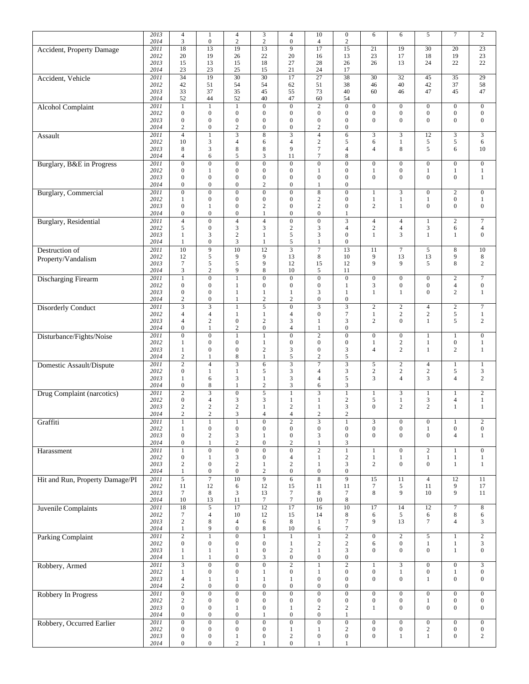|                                 | 2013         | $\overline{4}$                              | $\mathbf{1}$                         | 4                                    | 3                                    | $\overline{4}$                     | 10                                 | $\boldsymbol{0}$                          | 6                                    | 6                                    | 5                                | $\tau$                               | $\sqrt{2}$                         |
|---------------------------------|--------------|---------------------------------------------|--------------------------------------|--------------------------------------|--------------------------------------|------------------------------------|------------------------------------|-------------------------------------------|--------------------------------------|--------------------------------------|----------------------------------|--------------------------------------|------------------------------------|
|                                 | 2014         | 3                                           | $\boldsymbol{0}$                     | $\overline{c}$                       | $\sqrt{2}$                           | $\boldsymbol{0}$                   | $\overline{4}$                     | $\sqrt{2}$                                |                                      |                                      |                                  |                                      |                                    |
| Accident, Property Damage       | 2011<br>2012 | 18<br>20                                    | 13<br>19                             | 19<br>26                             | 13<br>22                             | 9<br>20                            | 17<br>16                           | 15<br>13                                  | 21<br>23                             | 19<br>17                             | 30<br>18                         | 20<br>19                             | 23<br>23                           |
|                                 | 2013         | 15                                          | 13                                   | 15                                   | 18                                   | 27                                 | 28                                 | 26                                        | 26                                   | 13                                   | 24                               | 22                                   | 22                                 |
|                                 | 2014         | 23                                          | 23                                   | 25                                   | 15                                   | 21                                 | 24                                 | 17                                        |                                      |                                      |                                  |                                      |                                    |
| Accident, Vehicle               | 2011         | $\overline{34}$                             | 19                                   | $\overline{30}$                      | $\overline{30}$                      | 17                                 | $\overline{27}$                    | $\overline{38}$                           | $\overline{30}$                      | $\overline{32}$                      | 45                               | $\overline{35}$                      | $\overline{29}$                    |
|                                 | 2012<br>2013 | 42<br>33                                    | 51<br>37                             | 54<br>35                             | 54<br>45                             | 62<br>55                           | 51<br>73                           | 38<br>40                                  | 46<br>60                             | 40<br>46                             | 42<br>47                         | 37<br>45                             | 58<br>47                           |
|                                 | 2014         | 52                                          | 44                                   | 52                                   | 40                                   | 47                                 | 60                                 | 54                                        |                                      |                                      |                                  |                                      |                                    |
| <b>Alcohol Complaint</b>        | 2011         | $1\,$                                       | $\mathbf{1}$                         | $\mathbf{1}$                         | $\boldsymbol{0}$                     | $\mathbf{0}$                       | $\sqrt{2}$                         | $\boldsymbol{0}$                          | $\boldsymbol{0}$                     | $\boldsymbol{0}$                     | $\mathbf{0}$                     | $\mathbf 0$                          | $\mathbf{0}$                       |
|                                 | 2012         | $\boldsymbol{0}$                            | $\boldsymbol{0}$                     | $\boldsymbol{0}$                     | $\boldsymbol{0}$                     | $\mathbf{0}$                       | $\boldsymbol{0}$                   | $\boldsymbol{0}$                          | $\boldsymbol{0}$                     | $\boldsymbol{0}$                     | $\mathbf{0}$                     | $\boldsymbol{0}$                     | $\mathbf{0}$                       |
|                                 | 2013<br>2014 | $\boldsymbol{0}$<br>$\overline{\mathbf{c}}$ | $\boldsymbol{0}$<br>$\boldsymbol{0}$ | $\boldsymbol{0}$<br>$\overline{c}$   | $\boldsymbol{0}$<br>$\boldsymbol{0}$ | $\overline{0}$<br>$\boldsymbol{0}$ | $\boldsymbol{0}$<br>$\overline{2}$ | $\boldsymbol{0}$<br>$\boldsymbol{0}$      | $\overline{0}$                       | $\mathbf{0}$                         | $\mathbf{0}$                     | $\mathbf{0}$                         | $\mathbf{0}$                       |
| Assault                         | 2011         | $\overline{4}$                              | $\mathbf{1}$                         |                                      | $\overline{8}$                       | 3                                  | $\overline{4}$                     | $\sqrt{6}$                                | 3                                    | 3                                    | 12                               | $\overline{3}$                       | $\mathfrak{Z}$                     |
|                                 | 2012         | 10                                          | 3                                    | 4                                    | 6                                    | $\overline{4}$                     | $\sqrt{2}$                         | $\sqrt{5}$                                | 6                                    | $\mathbf{1}$                         | 5                                | $\sqrt{5}$                           | 6                                  |
|                                 | 2013         | 8                                           | 3                                    | 8                                    | 8                                    | 9                                  | $\boldsymbol{7}$                   | $\overline{4}$                            | $\overline{4}$                       | 8                                    | 5                                | 6                                    | 10                                 |
| Burglary, B&E in Progress       | 2014<br>2011 | $\overline{4}$<br>$\overline{0}$            | 6<br>$\overline{0}$                  | 5<br>$\overline{0}$                  | 3<br>$\overline{0}$                  | 11<br>$\mathbf{0}$                 | $\overline{7}$<br>$\overline{0}$   | $\,$ 8 $\,$<br>$\overline{0}$             | $\boldsymbol{0}$                     | $\mathbf{0}$                         | $\boldsymbol{0}$                 | $\overline{0}$                       | $\mathbf{0}$                       |
|                                 | 2012         | $\overline{0}$                              | $\mathbf{1}$                         | $\overline{0}$                       | $\boldsymbol{0}$                     | $\overline{0}$                     | $\mathbf{1}$                       | $\boldsymbol{0}$                          | 1                                    | $\boldsymbol{0}$                     | 1                                | $\mathbf{1}$                         | $\mathbf{1}$                       |
|                                 | 2013         | $\boldsymbol{0}$                            | $\boldsymbol{0}$                     | $\boldsymbol{0}$                     | $\boldsymbol{0}$                     | $\boldsymbol{0}$                   | $\mathbf{0}$                       | $\boldsymbol{0}$                          | $\overline{0}$                       | $\boldsymbol{0}$                     | $\mathbf{0}$                     | $\boldsymbol{0}$                     | $\mathbf{1}$                       |
|                                 | 2014         | $\boldsymbol{0}$                            | $\boldsymbol{0}$                     | $\mathbf{0}$                         | $\overline{c}$                       | $\mathbf{0}$                       | $\mathbf{1}$                       | $\boldsymbol{0}$                          |                                      |                                      |                                  |                                      |                                    |
| <b>Burglary</b> , Commercial    | 2011<br>2012 | $\boldsymbol{0}$<br>$\mathbf{1}$            | $\boldsymbol{0}$<br>$\boldsymbol{0}$ | $\overline{0}$<br>$\boldsymbol{0}$   | $\boldsymbol{0}$<br>$\boldsymbol{0}$ | $\overline{0}$<br>$\overline{0}$   | $\,$ 8 $\,$<br>$\sqrt{2}$          | $\boldsymbol{0}$<br>$\boldsymbol{0}$      | $\mathbf{1}$<br>$\mathbf{1}$         | 3<br>$\mathbf{1}$                    | $\boldsymbol{0}$<br>$\mathbf{1}$ | $\overline{2}$<br>$\boldsymbol{0}$   | $\mathbf{0}$<br>$\mathbf{1}$       |
|                                 | 2013         | $\boldsymbol{0}$                            | $\mathbf{1}$                         | $\boldsymbol{0}$                     | $\overline{c}$                       | $\mathbf{0}$                       | $\overline{c}$                     | $\boldsymbol{0}$                          | $\overline{c}$                       | $\mathbf{1}$                         | $\mathbf{0}$                     | $\boldsymbol{0}$                     | $\mathbf{0}$                       |
|                                 | 2014         | $\boldsymbol{0}$                            | $\boldsymbol{0}$                     | $\boldsymbol{0}$                     | $\mathbf{1}$                         | $\boldsymbol{0}$                   | $\boldsymbol{0}$                   | $\mathbf{1}$                              |                                      |                                      |                                  |                                      |                                    |
| <b>Burglary</b> , Residential   | 2011         | $\overline{4}$<br>5                         | $\overline{0}$<br>$\boldsymbol{0}$   | $\overline{4}$<br>3                  | $\overline{4}$<br>3                  | $\overline{0}$<br>$\mathbf{2}$     | $\overline{0}$<br>$\mathfrak{Z}$   | $\overline{\mathbf{3}}$<br>$\overline{4}$ | $\overline{4}$<br>$\sqrt{2}$         | $\overline{4}$<br>$\overline{4}$     | 1<br>$\mathfrak{Z}$              | $\overline{2}$                       | $\boldsymbol{7}$<br>$\overline{4}$ |
|                                 | 2012<br>2013 | $\mathbf{1}$                                | 3                                    | $\overline{c}$                       | $\mathbf{1}$                         | 5                                  | 3                                  | $\boldsymbol{0}$                          | $\mathbf{1}$                         | 3                                    | $\mathbf{1}$                     | 6<br>$\mathbf{1}$                    | $\mathbf{0}$                       |
|                                 | 2014         | $\mathbf{1}$                                | $\boldsymbol{0}$                     | 3                                    | 1                                    | 5                                  | $\mathbf{1}$                       | $\boldsymbol{0}$                          |                                      |                                      |                                  |                                      |                                    |
| Destruction of                  | 2011         | $\overline{10}$                             | $\overline{9}$                       | $\overline{10}$                      | $\overline{12}$                      |                                    | $\overline{7}$                     | 13                                        | 11                                   | $\tau$                               | 5                                | 8                                    | 10                                 |
| Property/Vandalism              | 2012<br>2013 | 12<br>$\tau$                                | 5<br>5                               | 9<br>5                               | 9<br>9                               | 13<br>12                           | 8<br>15                            | 10<br>12                                  | 9<br>9                               | 13<br>9                              | 13<br>5                          | 9<br>$\,8\,$                         | 8<br>$\overline{c}$                |
|                                 | 2014         | 3                                           | $\sqrt{2}$                           | 9                                    | 8                                    | 10                                 | 5                                  | 11                                        |                                      |                                      |                                  |                                      |                                    |
| <b>Discharging Firearm</b>      | 2011         | $\mathbf{1}$                                | $\overline{0}$                       | 1                                    | $\overline{0}$                       | $\overline{0}$                     | $\overline{0}$                     | $\overline{0}$                            | $\overline{0}$                       | $\boldsymbol{0}$                     | $\boldsymbol{0}$                 | $\overline{2}$                       | $\overline{7}$                     |
|                                 | 2012<br>2013 | $\boldsymbol{0}$<br>$\boldsymbol{0}$        | $\boldsymbol{0}$<br>$\boldsymbol{0}$ | 1                                    | $\boldsymbol{0}$                     | $\mathbf{0}$                       | $\boldsymbol{0}$<br>3              | 1<br>$\mathbf{1}$                         | 3<br>$\mathbf{1}$                    | $\boldsymbol{0}$<br>$\mathbf{1}$     | $\boldsymbol{0}$<br>$\mathbf{0}$ | $\overline{4}$<br>$\overline{c}$     | $\boldsymbol{0}$                   |
|                                 | 2014         | $\sqrt{2}$                                  | $\boldsymbol{0}$                     | $\mathbf{1}$<br>$\mathbf{1}$         | $\mathbf{1}$<br>$\overline{c}$       | $\mathbf{1}$<br>$\overline{c}$     | $\boldsymbol{0}$                   | $\boldsymbol{0}$                          |                                      |                                      |                                  |                                      | $\mathbf{1}$                       |
| <b>Disorderly Conduct</b>       | 2011         | $\overline{3}$                              | $\overline{3}$                       | $\mathbf{1}$                         | $\overline{5}$                       | $\overline{0}$                     |                                    | $\overline{3}$                            | $\overline{c}$                       | $\sqrt{2}$                           | 4                                | $\overline{2}$                       | $\overline{\tau}$                  |
|                                 | 2012         | $\overline{4}$                              | $\overline{4}$                       | $\mathbf{1}$                         | $\mathbf{1}$                         | $\overline{4}$                     | $\mathbf{0}$                       | $\tau$                                    | $\mathbf{1}$                         | $\sqrt{2}$                           | $\sqrt{2}$                       | 5                                    | $\mathbf{1}$                       |
|                                 | 2013<br>2014 | $\overline{4}$<br>$\boldsymbol{0}$          | $\overline{c}$<br>$\mathbf{1}$       | $\boldsymbol{0}$<br>$\overline{c}$   | $\overline{c}$<br>$\boldsymbol{0}$   | 3<br>4                             | $\mathbf{1}$<br>$\mathbf{1}$       | 3<br>$\boldsymbol{0}$                     | $\overline{2}$                       | $\mathbf{0}$                         | 1                                | 5                                    | $\overline{c}$                     |
| Disturbance/Fights/Noise        | 2011         | $\boldsymbol{0}$                            | $\boldsymbol{0}$                     | $\mathbf{1}$                         | $\mathbf{1}$                         | $\boldsymbol{0}$                   | $\overline{2}$                     | $\overline{0}$                            | $\boldsymbol{0}$                     | $\boldsymbol{0}$                     | 1                                | $\mathbf{1}$                         | $\boldsymbol{0}$                   |
|                                 | 2012         | $\mathbf{1}$                                | $\boldsymbol{0}$                     | $\mathbf{0}$                         | $\mathbf{1}$                         | $\mathbf{0}$                       | $\mathbf{0}$                       | $\boldsymbol{0}$                          | $\mathbf{1}$                         | $\overline{c}$                       | 1                                | $\boldsymbol{0}$                     | $\mathbf{1}$                       |
|                                 | 2013<br>2014 | $\mathbf{1}$<br>$\sqrt{2}$                  | $\boldsymbol{0}$<br>$\mathbf{1}$     | $\boldsymbol{0}$<br>8                | $\sqrt{2}$<br>$\mathbf{1}$           | 3<br>5                             | $\mathbf{0}$<br>$\overline{c}$     | $\sqrt{3}$<br>5                           | $\overline{4}$                       | $\overline{c}$                       | $\mathbf{1}$                     | $\sqrt{2}$                           | $\mathbf{1}$                       |
| <b>Domestic Assault/Dispute</b> | 2011         | $\overline{2}$                              | $\overline{4}$                       | $\overline{\overline{3}}$            | 6                                    | $\overline{\mathbf{3}}$            | $\overline{7}$                     |                                           | 5                                    | $\sqrt{2}$                           | $\overline{4}$                   | $\mathbf{1}$                         | $\mathbf{1}$                       |
|                                 | 2012         | $\boldsymbol{0}$                            | $\mathbf{1}$                         | $\mathbf{1}$                         | 5                                    | 3                                  | $\overline{4}$                     | $\sqrt{3}$                                | $\mathbf{2}$                         | $\mathbf{2}$                         | $\sqrt{2}$                       | 5                                    | 3                                  |
|                                 | 2013<br>2014 | 1<br>$\overline{0}$                         | 6<br>8                               | 3<br>$\mathbf{1}$                    | 1<br>$\overline{c}$                  | 3<br>3                             | $\overline{4}$<br>6                | $\sqrt{5}$<br>3                           | 3                                    | $\overline{4}$                       | 3                                | $\overline{4}$                       | $\overline{c}$                     |
| Drug Complaint (narcotics)      | 2011         | $\overline{2}$                              | $\overline{\mathbf{3}}$              | $\boldsymbol{0}$                     | 5                                    | 1                                  | 3                                  | $\mathbf{1}$                              | 1                                    | 3                                    | 1                                | $\mathbf{1}$                         | $\mathfrak{2}$                     |
|                                 | 2012         | $\boldsymbol{0}$                            | $\overline{4}$                       | 3                                    | 3                                    | 1                                  | 1                                  | $\sqrt{2}$                                | 5                                    | $\mathbf{1}$                         | $\mathfrak{Z}$                   | $\overline{a}$                       | $\mathbf{1}$                       |
|                                 | 2013<br>2014 | $\sqrt{2}$<br>$\overline{c}$                | $\overline{c}$<br>$\overline{2}$     | $\overline{c}$<br>3                  | $\mathbf{1}$<br>$\overline{4}$       | $\mathbf{2}$<br>$\overline{4}$     | $\mathbf{1}$<br>$\overline{c}$     | $\sqrt{3}$<br>$\overline{c}$              | $\overline{0}$                       | $\overline{c}$                       | $\overline{c}$                   | $\mathbf{1}$                         | $\mathbf{1}$                       |
| Graffiti                        | 2011         | $\mathbf{1}$                                | $\mathbf{1}$                         | $\mathbf{1}$                         | $\boldsymbol{0}$                     | $\mathbf{2}$                       | 3                                  | $\mathbf{1}$                              | 3                                    | $\boldsymbol{0}$                     | $\boldsymbol{0}$                 | $\mathbf{1}$                         | $\sqrt{2}$                         |
|                                 | 2012         | $\mathbf{1}$                                | $\boldsymbol{0}$                     | $\boldsymbol{0}$                     | $\boldsymbol{0}$                     | $\boldsymbol{0}$                   | $\boldsymbol{0}$                   | $\boldsymbol{0}$                          | $\boldsymbol{0}$                     | $\boldsymbol{0}$                     | 1                                | $\boldsymbol{0}$                     | $\boldsymbol{0}$                   |
|                                 | 2013         | $\boldsymbol{0}$                            | $\sqrt{2}$                           | 3                                    | 1                                    | $\boldsymbol{0}$                   | 3                                  | $\boldsymbol{0}$                          | $\overline{0}$                       | $\mathbf{0}$                         | $\mathbf{0}$                     | $\overline{4}$                       | $\mathbf{1}$                       |
| Harassment                      | 2014<br>2011 | $\boldsymbol{0}$<br>$\overline{1}$          | $\,1\,$<br>$\overline{0}$            | $\mathbf{2}$<br>$\overline{0}$       | $\boldsymbol{0}$<br>$\overline{0}$   | $\mathbf{2}$<br>$\boldsymbol{0}$   | $\mathbf{1}$<br>$\overline{2}$     | $\ensuremath{\mathsf{3}}$<br>$\mathbf{1}$ | $\mathbf{1}$                         | $\overline{0}$                       | $\overline{c}$                   | $\mathbf{1}$                         | $\mathbf{0}$                       |
|                                 | 2012         | $\boldsymbol{0}$                            | 1                                    | 3                                    | $\boldsymbol{0}$                     | 4                                  | $\mathbf{1}$                       | $\sqrt{2}$                                | $\mathbf{1}$                         | $\mathbf{1}$                         | 1                                | 1                                    | 1                                  |
|                                 | 2013         | $\sqrt{2}$                                  | $\boldsymbol{0}$                     | $\sqrt{2}$                           | $\mathbf{1}$                         | $\boldsymbol{2}$                   | $\mathbf{1}$                       | $\mathfrak{Z}$                            | $\overline{c}$                       | $\mathbf{0}$                         | $\boldsymbol{0}$                 | $\mathbf{1}$                         | $\mathbf{1}$                       |
|                                 | 2014<br>2011 | $\mathbf{1}$<br>$\mathfrak{S}$              | $\boldsymbol{0}$<br>$\overline{7}$   | $\boldsymbol{0}$<br>10               | $\sqrt{2}$<br>9                      | $\boldsymbol{0}$<br>6              | $\mathbf{0}$<br>$\overline{8}$     | $\boldsymbol{0}$<br>$\overline{9}$        | 15                                   | 11                                   | $\overline{4}$                   | 12                                   | 11                                 |
| Hit and Run, Property Damage/PI | 2012         | 11                                          | 12                                   | 6                                    | 12                                   | 15                                 | 11                                 | 11                                        | 7                                    | 5                                    | 11                               | 9                                    | 17                                 |
|                                 | 2013         | $\tau$                                      | 8                                    | 3                                    | 13                                   | $\tau$                             | 8                                  | $\boldsymbol{7}$                          | 8                                    | 9                                    | 10                               | 9                                    | 11                                 |
|                                 | 2014         | 10                                          | 13                                   | 11                                   | $\boldsymbol{7}$                     | $\boldsymbol{7}$                   | 10                                 | $\,8\,$                                   |                                      |                                      |                                  |                                      |                                    |
| Juvenile Complaints             | 2011<br>2012 | $\overline{18}$<br>$\tau$                   | $\overline{5}$<br>$\overline{4}$     | $\overline{17}$<br>10                | $\overline{12}$<br>12                | $\overline{17}$<br>15              | 16<br>14                           | $\overline{10}$<br>$\,8\,$                | 17<br>6                              | $\overline{14}$<br>5                 | $\overline{12}$<br>6             | $\overline{7}$<br>$\,$ 8 $\,$        | 8<br>6                             |
|                                 | 2013         | $\boldsymbol{2}$                            | 8                                    | 4                                    | 6                                    | 8                                  | $\mathbf{1}$                       | $\boldsymbol{7}$                          | 9                                    | 13                                   | $7\phantom{.0}$                  | $\overline{4}$                       | 3                                  |
|                                 | 2014         | $\mathbf{1}$                                | 9                                    | $\boldsymbol{0}$                     | 8                                    | 10                                 | 6                                  | $\boldsymbol{7}$                          |                                      |                                      |                                  |                                      |                                    |
| <b>Parking Complaint</b>        | 2011<br>2012 | $\overline{2}$<br>$\overline{0}$            | $\,1\,$<br>$\boldsymbol{0}$          | $\boldsymbol{0}$<br>$\boldsymbol{0}$ | $\,1$<br>$\boldsymbol{0}$            | $\mathbf{1}$<br>$\mathbf{1}$       | $\,1\,$<br>$\mathbf{2}$            | $\overline{2}$<br>$\sqrt{2}$              | $\boldsymbol{0}$<br>6                | $\sqrt{2}$<br>$\boldsymbol{0}$       | 5<br>$\mathbf{1}$                | $\mathbf{1}$<br>$\mathbf{1}$         | $\sqrt{2}$<br>3                    |
|                                 | 2013         | $\mathbf{1}$                                | $\mathbf{1}$                         | 1                                    | $\boldsymbol{0}$                     | $\mathbf{2}$                       | $\mathbf{1}$                       | $\sqrt{3}$                                | $\mathbf{0}$                         | $\mathbf{0}$                         | $\boldsymbol{0}$                 | $\mathbf{1}$                         | $\boldsymbol{0}$                   |
|                                 | 2014         | $\mathbf{1}$                                | $\mathbf{1}$                         | $\boldsymbol{0}$                     | 3                                    | $\boldsymbol{0}$                   | $\mathbf{0}$                       | $\boldsymbol{0}$                          |                                      |                                      |                                  |                                      |                                    |
| Robbery, Armed                  | 2011         | $\overline{3}$                              | $\overline{0}$                       | $\overline{0}$                       | $\overline{0}$                       | $\overline{2}$                     | $\mathbf{1}$                       | $\overline{2}$                            | $\mathbf{1}$                         | $\overline{3}$                       | $\boldsymbol{0}$                 | $\overline{0}$                       | $\mathfrak{Z}$                     |
|                                 | 2012<br>2013 | $\,1$<br>$\overline{4}$                     | $\boldsymbol{0}$<br>1                | $\boldsymbol{0}$<br>1                | $\mathbf{1}$<br>1                    | $\boldsymbol{0}$<br>1              | $\mathbf{1}$<br>$\mathbf{0}$       | $\boldsymbol{0}$<br>$\boldsymbol{0}$      | $\boldsymbol{0}$<br>$\overline{0}$   | $\mathbf{1}$<br>$\mathbf{0}$         | $\boldsymbol{0}$<br>1            | $\mathbf{1}$<br>$\boldsymbol{0}$     | $\boldsymbol{0}$<br>$\mathbf{0}$   |
|                                 | 2014         | $\boldsymbol{2}$                            | $\boldsymbol{0}$                     | $\boldsymbol{0}$                     | $\boldsymbol{0}$                     | $\boldsymbol{0}$                   | $\mathbf{0}$                       | $\boldsymbol{0}$                          |                                      |                                      |                                  |                                      |                                    |
| Robbery In Progress             | 2011         | $\mathbf{0}$                                | $\overline{0}$                       | $\overline{0}$                       | $\overline{0}$                       | $\overline{0}$                     | $\mathbf{0}$                       | $\boldsymbol{0}$                          | $\boldsymbol{0}$                     | $\mathbf{0}$                         | $\boldsymbol{0}$                 | $\overline{0}$                       | $\mathbf{0}$                       |
|                                 | 2012<br>2013 | $\overline{c}$<br>$\mathbf{0}$              | $\boldsymbol{0}$<br>$\boldsymbol{0}$ | $\boldsymbol{0}$<br>$\mathbf{1}$     | $\boldsymbol{0}$<br>$\boldsymbol{0}$ | $\boldsymbol{0}$<br>1              | $\mathbf{0}$<br>$\overline{c}$     | $\boldsymbol{0}$<br>$\sqrt{2}$            | $\boldsymbol{0}$<br>$\mathbf{1}$     | $\boldsymbol{0}$<br>$\boldsymbol{0}$ | 1<br>$\boldsymbol{0}$            | $\boldsymbol{0}$<br>$\mathbf{0}$     | $\boldsymbol{0}$<br>$\overline{0}$ |
|                                 | 2014         | $\boldsymbol{0}$                            | $\boldsymbol{0}$                     | $\boldsymbol{0}$                     | $\mathbf{1}$                         | $\boldsymbol{0}$                   | $\mathbf{0}$                       | $\mathbf{1}$                              |                                      |                                      |                                  |                                      |                                    |
| Robbery, Occurred Earlier       | 2011         | $\mathbf{0}$                                | $\boldsymbol{0}$                     | $\overline{0}$                       | $\boldsymbol{0}$                     | $\boldsymbol{0}$                   | $\boldsymbol{0}$                   | $\boldsymbol{0}$                          | $\boldsymbol{0}$                     | $\mathbf{0}$                         | $\boldsymbol{0}$                 | $\mathbf{0}$                         | $\mathbf{0}$                       |
|                                 | 2012<br>2013 | $\boldsymbol{0}$<br>$\boldsymbol{0}$        | $\boldsymbol{0}$<br>$\boldsymbol{0}$ | $\boldsymbol{0}$<br>$\mathbf{1}$     | $\boldsymbol{0}$<br>$\boldsymbol{0}$ | $\mathbf{1}$<br>$\overline{c}$     | $\mathbf{1}$<br>$\boldsymbol{0}$   | $\sqrt{2}$<br>$\boldsymbol{0}$            | $\boldsymbol{0}$<br>$\boldsymbol{0}$ | $\boldsymbol{0}$<br>$\mathbf{1}$     | $\sqrt{2}$<br>1                  | $\boldsymbol{0}$<br>$\boldsymbol{0}$ | $\overline{0}$<br>$\overline{2}$   |
|                                 | 2014         | $\boldsymbol{0}$                            | $\boldsymbol{0}$                     | $\overline{c}$                       | $\mathbf{1}$                         | $\boldsymbol{0}$                   | $\mathbf{1}$                       | $\mathbf{1}$                              |                                      |                                      |                                  |                                      |                                    |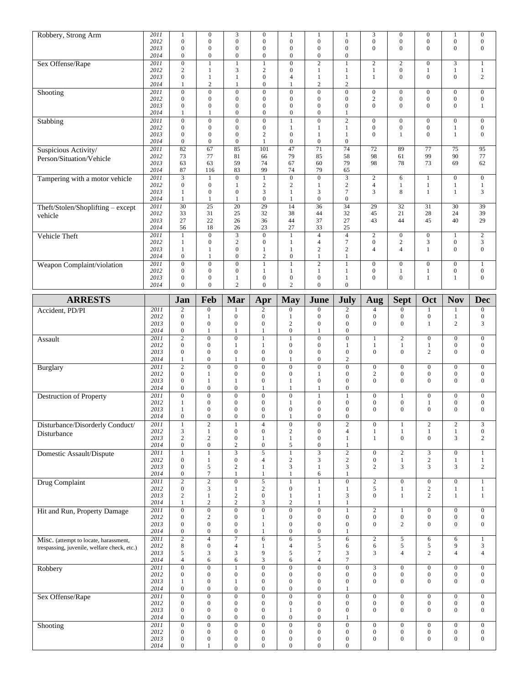| Robbery, Strong Arm                         | 2011                 | $\mathbf{1}$                                     | $\mathbf{0}$                                         | 3                                         | $\boldsymbol{0}$                                     | 1                                                        | 1                                                        | 1                                                    | 3                                    | $\boldsymbol{0}$                     | $\mathbf{0}$                         | 1                                    | $\boldsymbol{0}$                     |
|---------------------------------------------|----------------------|--------------------------------------------------|------------------------------------------------------|-------------------------------------------|------------------------------------------------------|----------------------------------------------------------|----------------------------------------------------------|------------------------------------------------------|--------------------------------------|--------------------------------------|--------------------------------------|--------------------------------------|--------------------------------------|
|                                             | 2012                 | $\overline{0}$                                   | $\mathbf{0}$                                         | $\overline{0}$                            | $\overline{0}$                                       | $\overline{0}$                                           | $\mathbf{0}$                                             | $\boldsymbol{0}$                                     | $\overline{0}$                       | $\overline{0}$                       | $\mathbf{0}$                         | $\overline{0}$                       | $\boldsymbol{0}$                     |
|                                             | 2013<br>2014         | $\boldsymbol{0}$<br>$\overline{0}$               | $\boldsymbol{0}$<br>$\boldsymbol{0}$                 | $\boldsymbol{0}$<br>$\overline{0}$        | $\mathbf{0}$<br>$\overline{0}$                       | $\boldsymbol{0}$<br>$\overline{0}$                       | $\boldsymbol{0}$<br>$\boldsymbol{0}$                     | $\mathbf{0}$<br>$\boldsymbol{0}$                     | $\overline{0}$                       | $\overline{0}$                       | $\mathbf{0}$                         | $\mathbf{0}$                         | $\mathbf{0}$                         |
| Sex Offense/Rape                            | 2011                 | $\overline{0}$                                   | $\mathbf{1}$                                         | $\mathbf{1}$                              | $\mathbf{1}$                                         | $\mathbf{0}$                                             | $\overline{2}$                                           | $\mathbf{1}$                                         | $\overline{c}$                       | $\overline{c}$                       | $\boldsymbol{0}$                     | 3                                    | 1                                    |
|                                             | 2012                 | $\sqrt{2}$                                       | $\mathbf{1}$                                         | 3                                         | $\overline{c}$                                       | $\mathbf{0}$                                             | $\mathbf{1}$                                             | $\mathbf{1}$                                         | $\mathbf{1}$                         | $\overline{0}$                       | $\mathbf{1}$                         | $\mathbf{1}$                         | $\mathbf{1}$                         |
|                                             | 2013<br>2014         | $\boldsymbol{0}$<br>$\mathbf{1}$                 | $\mathbf{1}$<br>$\overline{2}$                       | $\mathbf{1}$<br>$\mathbf{1}$              | $\overline{0}$<br>$\overline{0}$                     | $\overline{4}$<br>$\mathbf{1}$                           | $\mathbf{1}$<br>2                                        | $\mathbf{1}$<br>$\mathbf{2}$                         | 1                                    | $\mathbf{0}$                         | $\theta$                             | $\overline{0}$                       | 2                                    |
| Shooting                                    | 2011                 | $\overline{0}$                                   | $\boldsymbol{0}$                                     | $\boldsymbol{0}$                          | $\overline{0}$                                       | $\boldsymbol{0}$                                         | $\overline{0}$                                           | $\boldsymbol{0}$                                     | $\boldsymbol{0}$                     | $\mathbf{0}$                         | $\mathbf{0}$                         | $\boldsymbol{0}$                     | $\boldsymbol{0}$                     |
|                                             | 2012                 | $\boldsymbol{0}$                                 | $\boldsymbol{0}$                                     | $\boldsymbol{0}$                          | $\mathbf{0}$                                         | $\mathbf{0}$                                             | $\boldsymbol{0}$                                         | $\boldsymbol{0}$                                     | $\sqrt{2}$                           | $\overline{0}$                       | $\mathbf{0}$                         | $\mathbf{0}$                         | $\mathbf{0}$                         |
|                                             | 2013                 | $\boldsymbol{0}$                                 | $\boldsymbol{0}$                                     | $\boldsymbol{0}$                          | $\mathbf{0}$                                         | $\boldsymbol{0}$                                         | $\boldsymbol{0}$                                         | $\mathbf{0}$                                         | $\overline{0}$                       | $\overline{0}$                       | $\mathbf{0}$                         | $\boldsymbol{0}$                     | 1                                    |
|                                             | 2014                 | $\mathbf{1}$                                     | $\mathbf{1}$                                         | $\boldsymbol{0}$                          | $\overline{0}$                                       | $\mathbf{0}$                                             | $\boldsymbol{0}$                                         | 1                                                    |                                      |                                      |                                      |                                      |                                      |
| Stabbing                                    | 2011<br>2012         | $\overline{0}$<br>$\boldsymbol{0}$               | $\overline{0}$<br>$\boldsymbol{0}$                   | $\overline{0}$<br>$\boldsymbol{0}$        | $\overline{0}$<br>$\mathbf{0}$                       | $\mathbf{1}$<br>$\mathbf{1}$                             | $\overline{0}$<br>$\mathbf{1}$                           | $\overline{2}$<br>$\mathbf{1}$                       | $\boldsymbol{0}$<br>$\boldsymbol{0}$ | $\mathbf{0}$<br>$\mathbf{0}$         | $\boldsymbol{0}$<br>$\boldsymbol{0}$ | $\overline{0}$<br>1                  | $\mathbf{0}$<br>$\boldsymbol{0}$     |
|                                             | 2013                 | $\overline{0}$                                   | $\mathbf{0}$                                         | $\mathbf{0}$                              | $\overline{c}$                                       | $\mathbf{0}$                                             | $\mathbf{1}$                                             | $\mathbf{1}$                                         | $\overline{0}$                       | $\mathbf{1}$                         | $\mathbf{0}$                         | $\mathbf{1}$                         | $\mathbf{0}$                         |
|                                             | 2014                 | $\boldsymbol{0}$                                 | $\boldsymbol{0}$                                     | $\boldsymbol{0}$                          | $\mathbf{1}$                                         | $\boldsymbol{0}$                                         | $\boldsymbol{0}$                                         | $\boldsymbol{0}$                                     |                                      |                                      |                                      |                                      |                                      |
| Suspicious Activity/                        | 2011                 | $\overline{82}$                                  | $\overline{67}$                                      | 85                                        | 101                                                  | 47                                                       | 71                                                       | $\overline{74}$                                      | 72                                   | 89                                   | $\overline{77}$                      | $\overline{75}$                      | $\overline{95}$                      |
| Person/Situation/Vehicle                    | 2012<br>2013         | 73<br>63                                         | 77<br>63                                             | 81<br>59                                  | 66<br>74                                             | 79<br>67                                                 | 85<br>60                                                 | 58<br>79                                             | 98<br>98                             | 61<br>78                             | 99<br>73                             | 90<br>69                             | 77<br>62                             |
|                                             | 2014                 | 87                                               | 116                                                  | 83                                        | 99                                                   | 74                                                       | 79                                                       | 65                                                   |                                      |                                      |                                      |                                      |                                      |
| Tampering with a motor vehicle              | 2011                 |                                                  | $\mathbf{1}$                                         | $\overline{0}$                            | $\mathbf{1}$                                         | $\overline{0}$                                           | $\overline{0}$                                           | $\overline{3}$                                       | $\mathbf{2}$                         | 6                                    | $\mathbf{1}$                         | $\boldsymbol{0}$                     | $\mathbf{0}$                         |
|                                             | 2012                 | $\boldsymbol{0}$                                 | $\boldsymbol{0}$                                     | $\mathbf{1}$                              | $\overline{c}$                                       | $\mathbf{2}$                                             | $\mathbf{1}$                                             | $\overline{c}$                                       | $\overline{4}$                       | $\mathbf{1}$                         | $\mathbf{1}$                         | $\mathbf{1}$                         | 1                                    |
|                                             | 2013<br>2014         | $\mathbf{1}$<br>$\mathbf{1}$                     | $\mathbf{0}$<br>$\mathbf{1}$                         | $\mathbf{0}$<br>1                         | 3<br>$\overline{0}$                                  | $\mathbf{1}$<br>$\mathbf{1}$                             | $\mathfrak{Z}$<br>$\boldsymbol{0}$                       | $\boldsymbol{7}$<br>$\boldsymbol{0}$                 | 3                                    | 8                                    | $\mathbf{1}$                         | $\mathbf{1}$                         | $\mathfrak{Z}$                       |
| Theft/Stolen/Shoplifting - except           | 2011                 | $\overline{30}$                                  | $\overline{25}$                                      | 20                                        | $\overline{29}$                                      | 14                                                       | $\overline{36}$                                          | $\overline{34}$                                      | 29                                   | $\overline{32}$                      | 31                                   | $\overline{30}$                      | $\overline{39}$                      |
| vehicle                                     | 2012                 | 33                                               | 31                                                   | 25                                        | 32                                                   | 38                                                       | 44                                                       | 32                                                   | 45                                   | 21                                   | 28                                   | 24                                   | 39                                   |
|                                             | 2013                 | 27                                               | 22                                                   | 26                                        | 36                                                   | 44                                                       | 37                                                       | 27                                                   | 43                                   | 44                                   | 45                                   | 40                                   | 29                                   |
|                                             | 2014<br>2011         | 56<br>$\mathbf{1}$                               | 18<br>$\boldsymbol{0}$                               | 26<br>$\overline{3}$                      | 23<br>$\mathbf{0}$                                   | 27<br>$\mathbf{1}$                                       | 33<br>$\overline{4}$                                     | 25<br>$\overline{4}$                                 | $\overline{c}$                       | $\mathbf{0}$                         | $\mathbf{0}$                         | $\mathbf{1}$                         | 2                                    |
| Vehicle Theft                               | 2012                 | $\mathbf{1}$                                     | $\boldsymbol{0}$                                     | $\overline{c}$                            | $\overline{0}$                                       | $\mathbf{1}$                                             | $\overline{4}$                                           | $\overline{7}$                                       | $\boldsymbol{0}$                     | $\overline{c}$                       | 3                                    | $\boldsymbol{0}$                     | $\sqrt{3}$                           |
|                                             | 2013                 | $\mathbf{1}$                                     | 1                                                    | $\overline{0}$                            | 1                                                    | $\mathbf{1}$                                             | $\sqrt{2}$                                               | $\mathbf{2}$                                         | $\overline{4}$                       | $\overline{4}$                       | $\mathbf{1}$                         | $\mathbf{0}$                         | $\mathbf{0}$                         |
|                                             | 2014                 | $\boldsymbol{0}$                                 | $\mathbf{1}$                                         | $\mathbf{0}$                              | $\overline{c}$                                       | $\overline{0}$                                           | $\mathbf{1}$                                             | $\mathbf{1}$                                         |                                      |                                      |                                      |                                      |                                      |
| Weapon Complaint/violation                  | 2011                 | $\overline{0}$<br>$\boldsymbol{0}$               | $\boldsymbol{0}$<br>$\boldsymbol{0}$                 | $\overline{0}$<br>$\boldsymbol{0}$        | $\mathbf{1}$                                         | $\mathbf{1}$                                             | $\sqrt{2}$<br>$\mathbf{1}$                               | $\mathbf{1}$                                         | $\overline{0}$<br>$\boldsymbol{0}$   | $\overline{0}$                       | $\boldsymbol{0}$                     | $\mathbf{0}$                         | $\mathbf{1}$<br>$\boldsymbol{0}$     |
|                                             | 2012<br>2013         | $\boldsymbol{0}$                                 | $\boldsymbol{0}$                                     | 1                                         | 1<br>$\mathbf{0}$                                    | 1<br>$\boldsymbol{0}$                                    | $\boldsymbol{0}$                                         | 1<br>$\mathbf{1}$                                    | $\overline{0}$                       | $\mathbf{1}$<br>$\overline{0}$       | $\mathbf{1}$<br>$\mathbf{1}$         | $\boldsymbol{0}$<br>$\mathbf{1}$     | $\mathbf{0}$                         |
|                                             | 2014                 | $\overline{0}$                                   | $\mathbf{0}$                                         | $\overline{c}$                            | $\mathbf{0}$                                         | $\overline{c}$                                           | $\mathbf{0}$                                             | $\overline{0}$                                       |                                      |                                      |                                      |                                      |                                      |
| <b>ARRESTS</b>                              |                      | Jan                                              | Feb                                                  | Mar                                       |                                                      |                                                          | June                                                     | July                                                 |                                      |                                      | Oct                                  | <b>Nov</b>                           | <b>Dec</b>                           |
|                                             | 2011                 | $\mathbf{2}$                                     | $\overline{0}$                                       |                                           | Apr<br>2                                             | <b>May</b><br>$\boldsymbol{0}$                           | $\boldsymbol{0}$                                         | $\overline{c}$                                       | Aug<br>$\overline{4}$                | <b>Sept</b><br>$\boldsymbol{0}$      | 1                                    | 1                                    | $\boldsymbol{0}$                     |
| Accident, PD/PI                             | 2012                 | $\boldsymbol{0}$                                 | $\mathbf{1}$                                         | $\overline{0}$                            | $\mathbf{0}$                                         | $\mathbf{1}$                                             | $\boldsymbol{0}$                                         | $\mathbf{0}$                                         | $\boldsymbol{0}$                     | $\boldsymbol{0}$                     | $\boldsymbol{0}$                     | $\mathbf{1}$                         | $\boldsymbol{0}$                     |
|                                             | 2013                 | $\boldsymbol{0}$                                 | $\boldsymbol{0}$                                     | $\boldsymbol{0}$                          | $\mathbf{0}$                                         | $\sqrt{2}$                                               | $\mathbf{0}$                                             | $\boldsymbol{0}$                                     | $\mathbf{0}$                         | $\mathbf{0}$                         | $\mathbf{1}$                         | $\mathbf{2}$                         | 3                                    |
|                                             | 2014                 | $\boldsymbol{0}$                                 | $\mathbf{1}$                                         | $\mathbf{1}$                              | $\mathbf{1}$                                         | $\boldsymbol{0}$                                         | $\mathbf{1}$                                             | $\boldsymbol{0}$                                     |                                      |                                      |                                      |                                      |                                      |
|                                             |                      |                                                  |                                                      |                                           |                                                      |                                                          |                                                          |                                                      |                                      |                                      |                                      |                                      |                                      |
| Assault                                     | 2011                 | $\overline{2}$                                   | $\overline{0}$                                       | $\overline{0}$                            | $\mathbf{1}$                                         | $\mathbf{1}$                                             | $\overline{0}$                                           | $\overline{0}$                                       | 1                                    | $\overline{2}$                       | $\boldsymbol{0}$                     | $\boldsymbol{0}$                     | $\boldsymbol{0}$                     |
|                                             | 2012<br>2013         | $\boldsymbol{0}$<br>$\boldsymbol{0}$             | $\mathbf{0}$<br>$\boldsymbol{0}$                     | 1<br>$\overline{0}$                       | $\mathbf{1}$<br>$\mathbf{0}$                         | $\boldsymbol{0}$<br>$\mathbf{0}$                         | $\mathbf{0}$<br>$\boldsymbol{0}$                         | 1<br>$\boldsymbol{0}$                                | $\mathbf{1}$<br>$\mathbf{0}$         | $\mathbf{1}$<br>$\mathbf{0}$         | 1<br>$\overline{2}$                  | $\boldsymbol{0}$<br>$\boldsymbol{0}$ | $\boldsymbol{0}$<br>$\mathbf{0}$     |
|                                             | 2014                 | 1                                                | $\boldsymbol{0}$                                     | 1                                         | $\boldsymbol{0}$                                     | 1                                                        | $\boldsymbol{0}$                                         | $\overline{2}$                                       |                                      |                                      |                                      |                                      |                                      |
| Burglary                                    | 2011                 | $\overline{c}$                                   | $\boldsymbol{0}$                                     | $\boldsymbol{0}$                          | $\boldsymbol{0}$                                     | $\boldsymbol{0}$                                         | $\boldsymbol{0}$                                         | $\boldsymbol{0}$                                     | $\boldsymbol{0}$                     | $\boldsymbol{0}$                     | $\boldsymbol{0}$                     | $\boldsymbol{0}$                     | $\boldsymbol{0}$                     |
|                                             | 2012                 | $\boldsymbol{0}$                                 | $\mathbf{1}$                                         | $\overline{0}$                            | $\mathbf{0}$                                         | $\boldsymbol{0}$                                         | $\mathbf{1}$                                             | $\mathbf{0}$                                         | $\overline{c}$                       | $\boldsymbol{0}$                     | $\boldsymbol{0}$                     | $\boldsymbol{0}$                     | $\mathbf{0}$                         |
|                                             | 2013<br>2014         | $\mathbf{0}$<br>$\boldsymbol{0}$                 | $\mathbf{1}$<br>$\boldsymbol{0}$                     | 1<br>$\mathbf{0}$                         | $\mathbf{0}$<br>$\mathbf{1}$                         | $\mathbf{1}$<br>$\mathbf{1}$                             | $\mathbf{0}$<br>$\mathbf{1}$                             | $\boldsymbol{0}$<br>$\boldsymbol{0}$                 | $\overline{0}$                       | $\boldsymbol{0}$                     | $\mathbf{0}$                         | $\boldsymbol{0}$                     | $\mathbf{0}$                         |
| Destruction of Property                     | 2011                 | $\overline{0}$                                   | $\mathbf{0}$                                         | $\overline{0}$                            | $\mathbf{0}$                                         | $\mathbf{0}$                                             | $\mathbf{1}$                                             | $\mathbf{1}$                                         | $\mathbf{0}$                         | $\mathbf{1}$                         | $\boldsymbol{0}$                     | $\boldsymbol{0}$                     | $\boldsymbol{0}$                     |
|                                             | 2012                 | $\mathbf{1}$                                     | $\boldsymbol{0}$                                     | $\mathbf{0}$                              | $\mathbf{0}$                                         | $\mathbf{1}$                                             | $\boldsymbol{0}$                                         | $\boldsymbol{0}$                                     | $\boldsymbol{0}$                     | $\boldsymbol{0}$                     | 1                                    | $\boldsymbol{0}$                     | $\boldsymbol{0}$                     |
|                                             | 2013                 | $\mathbf{1}$                                     | $\boldsymbol{0}$                                     | $\overline{0}$                            | $\mathbf{0}$                                         | $\boldsymbol{0}$                                         | $\mathbf{0}$                                             | $\mathbf{0}$                                         | $\mathbf{0}$                         | $\mathbf{0}$                         | $\mathbf{0}$                         | $\overline{0}$                       | $\overline{0}$                       |
|                                             | 2014<br>2011         | $\boldsymbol{0}$<br>$\mathbf{1}$                 | $\boldsymbol{0}$<br>$\overline{2}$                   | $\boldsymbol{0}$<br>$\mathbf{1}$          | $\boldsymbol{0}$<br>$\overline{4}$                   | $\mathbf{1}$                                             | $\boldsymbol{0}$<br>$\boldsymbol{0}$                     | $\mathbf{0}$<br>$\overline{2}$                       | $\overline{0}$                       | $\mathbf{1}$                         | $\mathbf{2}$                         | $\mathbf{2}$                         |                                      |
| Disturbance/Disorderly Conduct/             | 2012                 | $\mathfrak{Z}$                                   | 1                                                    | $\boldsymbol{0}$                          | $\boldsymbol{0}$                                     | $\boldsymbol{0}$<br>$\sqrt{2}$                           | $\boldsymbol{0}$                                         | $\overline{4}$                                       | 1                                    | $\mathbf{1}$                         | 1                                    | $\mathbf{1}$                         | $\mathfrak{Z}$<br>$\boldsymbol{0}$   |
| Disturbance                                 | 2013                 | $\sqrt{2}$                                       | $\sqrt{2}$                                           | $\boldsymbol{0}$                          | $\mathbf{1}$                                         | 1                                                        | $\mathbf{0}$                                             | $\mathbf{1}$                                         | $\mathbf{1}$                         | $\boldsymbol{0}$                     | $\boldsymbol{0}$                     | 3                                    | $\mathbf{2}$                         |
|                                             | 2014                 | $\boldsymbol{0}$                                 | $\boldsymbol{0}$                                     | $\boldsymbol{2}$                          | $\mathbf{0}$                                         | 5                                                        | $\mathbf{0}$                                             | $\mathbf{1}$                                         |                                      |                                      |                                      |                                      |                                      |
| Domestic Assault/Dispute                    | 2011<br>2012         | $\mathbf{1}$<br>$\mathbf{0}$                     | $\mathbf{1}$<br>$\mathbf{1}$                         | 3<br>$\boldsymbol{0}$                     | $\overline{5}$<br>$\overline{4}$                     | $\mathbf{1}$<br>$\sqrt{2}$                               | $\overline{3}$<br>$\mathfrak{Z}$                         | $\sqrt{2}$<br>$\sqrt{2}$                             | $\overline{0}$<br>$\boldsymbol{0}$   | $\overline{2}$<br>$\mathbf{1}$       | 3<br>$\sqrt{2}$                      | $\mathbf{0}$<br>$\,1$                | $\mathbf{1}$<br>$\mathbf{1}$         |
|                                             | 2013                 | $\boldsymbol{0}$                                 | 5                                                    | 2                                         | -1                                                   | 3                                                        | 1                                                        | $\mathfrak{Z}$                                       | $\overline{c}$                       | 3                                    | 3                                    | $\mathfrak{Z}$                       | 2                                    |
|                                             | 2014                 | $\mathbf{0}$                                     | $\boldsymbol{7}$                                     | $\mathbf{1}$                              | $\mathbf{1}$                                         | $\,1\,$                                                  | 6                                                        | $\mathbf{1}$                                         |                                      |                                      |                                      |                                      |                                      |
| Drug Complaint                              | 2011                 | $\overline{2}$                                   | $\sqrt{2}$                                           | $\boldsymbol{0}$                          | $\sqrt{5}$                                           | $\mathbf{1}$                                             | $\mathbf{1}$                                             | $\boldsymbol{0}$                                     | $\overline{c}$                       | $\overline{0}$                       | $\boldsymbol{0}$                     | $\boldsymbol{0}$                     | $\mathbf{1}$                         |
|                                             | 2012<br>2013         | $\boldsymbol{0}$<br>$\sqrt{2}$                   | $\mathfrak{Z}$<br>$\mathbf{1}$                       | 1<br>$\overline{c}$                       | $\sqrt{2}$<br>$\boldsymbol{0}$                       | $\boldsymbol{0}$<br>$\mathbf{1}$                         | 1<br>1                                                   | $\mathbf{1}$<br>3                                    | 5<br>$\overline{0}$                  | $\mathbf{1}$<br>$\mathbf{1}$         | $\sqrt{2}$<br>$\mathbf{2}$           | 1<br>$\mathbf{1}$                    | -1<br>$\mathbf{1}$                   |
|                                             | 2014                 | $\mathbf{1}$                                     | $\sqrt{2}$                                           | $\overline{c}$                            | 3                                                    | $\sqrt{2}$                                               | 1                                                        | $\mathbf{1}$                                         |                                      |                                      |                                      |                                      |                                      |
| Hit and Run, Property Damage                | 2011                 | $\overline{0}$                                   | $\overline{0}$                                       | $\boldsymbol{0}$                          | $\overline{0}$                                       | $\overline{0}$                                           | $\overline{0}$                                           | $1\,$                                                | $\overline{2}$                       | $\mathbf{1}$                         | $\boldsymbol{0}$                     | $\overline{0}$                       | $\boldsymbol{0}$                     |
|                                             | 2012<br>2013         | $\mathbf{0}$<br>$\boldsymbol{0}$                 | $\sqrt{2}$<br>$\boldsymbol{0}$                       | $\boldsymbol{0}$<br>$\boldsymbol{0}$      | $\mathbf{1}$<br>$\mathbf{1}$                         | $\boldsymbol{0}$<br>$\boldsymbol{0}$                     | $\boldsymbol{0}$<br>$\mathbf{0}$                         | $\mathbf{0}$<br>$\boldsymbol{0}$                     | $\mathbf{0}$<br>$\overline{0}$       | $\boldsymbol{0}$<br>$\overline{c}$   | $\boldsymbol{0}$<br>$\boldsymbol{0}$ | $\boldsymbol{0}$<br>$\boldsymbol{0}$ | $\boldsymbol{0}$<br>$\boldsymbol{0}$ |
|                                             | 2014                 | $\boldsymbol{0}$                                 | $\boldsymbol{0}$                                     | $\boldsymbol{0}$                          | $\mathbf{1}$                                         | $\boldsymbol{0}$                                         | $\boldsymbol{0}$                                         | 1                                                    |                                      |                                      |                                      |                                      |                                      |
| Misc. (attempt to locate, harassment,       | 2011                 | $\overline{2}$                                   | $\overline{4}$                                       | $\overline{7}$                            | $\overline{6}$                                       | $\sqrt{6}$                                               | $\overline{5}$                                           | 6                                                    | $\overline{2}$                       | $\sqrt{5}$                           | 6                                    | 6                                    | $\mathbf{1}$                         |
| trespassing, juvenile, welfare check, etc.) | 2012                 | $\,$ 8 $\,$                                      | $\boldsymbol{0}$                                     | 4                                         | -1                                                   | $\overline{4}$                                           | 5                                                        | 6                                                    | 6                                    | 5                                    | 5                                    | 9                                    | 3                                    |
|                                             | 2013<br>2014         | 5<br>$\overline{4}$                              | $\mathfrak{Z}$<br>6                                  | 3<br>6                                    | 9<br>$\mathfrak{Z}$                                  | 5<br>6                                                   | $7\phantom{.0}$<br>$\overline{4}$                        | $\mathfrak{Z}$<br>$\boldsymbol{7}$                   | 3                                    | $\overline{4}$                       | $\mathbf{2}$                         | $\overline{4}$                       | $\overline{4}$                       |
| Robbery                                     | 2011                 | $\overline{0}$                                   | $\overline{0}$                                       | $\mathbf{1}$                              | $\overline{0}$                                       | $\overline{0}$                                           | $\overline{0}$                                           | $\overline{0}$                                       | $\overline{3}$                       | $\overline{0}$                       | $\boldsymbol{0}$                     | $\overline{0}$                       | $\overline{0}$                       |
|                                             | 2012                 | $\boldsymbol{0}$                                 | $\mathbf{0}$                                         | $\mathbf{0}$                              | $\mathbf{0}$                                         | $\boldsymbol{0}$                                         | $\mathbf{0}$                                             | $\mathbf{0}$                                         | $\overline{0}$                       | $\boldsymbol{0}$                     | $\boldsymbol{0}$                     | $\boldsymbol{0}$                     | $\boldsymbol{0}$                     |
|                                             | 2013                 | $\mathbf{1}$                                     | $\boldsymbol{0}$                                     | 1                                         | $\boldsymbol{0}$                                     | $\boldsymbol{0}$                                         | $\boldsymbol{0}$                                         | $\boldsymbol{0}$                                     | $\overline{0}$                       | $\boldsymbol{0}$                     | $\boldsymbol{0}$                     | $\boldsymbol{0}$                     | $\boldsymbol{0}$                     |
|                                             | 2014<br>2011         | $\mathbf{0}$<br>$\overline{0}$                   | $\mathbf{0}$<br>$\overline{0}$                       | $\boldsymbol{0}$<br>$\overline{0}$        | $\boldsymbol{0}$<br>$\overline{0}$                   | $\boldsymbol{0}$<br>$\overline{0}$                       | $\boldsymbol{0}$<br>$\overline{0}$                       | 1<br>$\overline{0}$                                  | $\overline{0}$                       | $\overline{0}$                       | $\boldsymbol{0}$                     |                                      | $\mathbf{0}$                         |
| Sex Offense/Rape                            | 2012                 | $\mathbf{0}$                                     | $\mathbf{0}$                                         | $\boldsymbol{0}$                          | $\mathbf{0}$                                         | $\boldsymbol{0}$                                         | $\mathbf{0}$                                             | $\mathbf{0}$                                         | $\mathbf{0}$                         | $\boldsymbol{0}$                     | $\boldsymbol{0}$                     | $\overline{0}$<br>$\boldsymbol{0}$   | $\boldsymbol{0}$                     |
|                                             | 2013                 | $\boldsymbol{0}$                                 | $\boldsymbol{0}$                                     | $\boldsymbol{0}$                          | $\boldsymbol{0}$                                     | $\mathbf{1}$                                             | $\boldsymbol{0}$                                         | $\mathbf{0}$                                         | $\overline{0}$                       | $\mathbf{0}$                         | $\mathbf{0}$                         | $\boldsymbol{0}$                     | $\mathbf{0}$                         |
|                                             | 2014                 | $\boldsymbol{0}$                                 | $\boldsymbol{0}$                                     | $\boldsymbol{0}$                          | $\boldsymbol{0}$                                     | $\boldsymbol{0}$                                         | $\mathbf{0}$                                             | 1                                                    |                                      |                                      |                                      |                                      |                                      |
| Shooting                                    | 2011                 | $\overline{0}$                                   | $\overline{0}$                                       | $\boldsymbol{0}$                          | $\overline{0}$                                       | $\overline{0}$                                           | $\overline{0}$                                           | $\mathbf{0}$                                         | $\overline{0}$                       | $\boldsymbol{0}$                     | $\boldsymbol{0}$                     | $\overline{0}$                       | $\boldsymbol{0}$                     |
|                                             | 2012<br>2013<br>2014 | $\mathbf{0}$<br>$\boldsymbol{0}$<br>$\mathbf{0}$ | $\boldsymbol{0}$<br>$\boldsymbol{0}$<br>$\mathbf{1}$ | $\boldsymbol{0}$<br>0<br>$\boldsymbol{0}$ | $\boldsymbol{0}$<br>$\boldsymbol{0}$<br>$\mathbf{0}$ | $\boldsymbol{0}$<br>$\boldsymbol{0}$<br>$\boldsymbol{0}$ | $\boldsymbol{0}$<br>$\boldsymbol{0}$<br>$\boldsymbol{0}$ | $\mathbf{0}$<br>$\boldsymbol{0}$<br>$\boldsymbol{0}$ | $\boldsymbol{0}$<br>$\overline{0}$   | $\boldsymbol{0}$<br>$\boldsymbol{0}$ | $\boldsymbol{0}$<br>$\boldsymbol{0}$ | $\boldsymbol{0}$<br>$\boldsymbol{0}$ | $\boldsymbol{0}$<br>$\boldsymbol{0}$ |